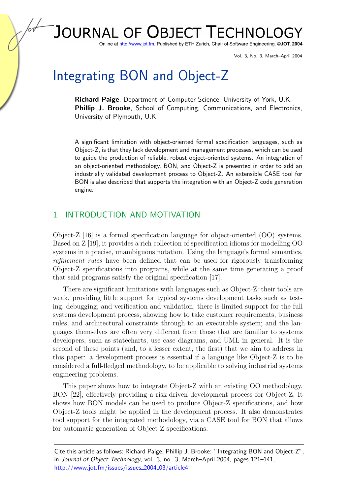## JOURNAL OF **OBJECT TECHNOL**

Online at http://www.jot.fm. Published by ETH Zurich, Chair of Software Engineering. @JOT, 2004

Vol. 3, No. 3, March–April 2004

# Integrating BON and Object-Z

Richard Paige, Department of Computer Science, University of York, U.K. Phillip J. Brooke, School of Computing, Communications, and Electronics, University of Plymouth, U.K.

A significant limitation with object-oriented formal specification languages, such as Object-Z, is that they lack development and management processes, which can be used to guide the production of reliable, robust object-oriented systems. An integration of an object-oriented methodology, BON, and Object-Z is presented in order to add an industrially validated development process to Object-Z. An extensible CASE tool for BON is also described that supports the integration with an Object-Z code generation engine.

## 1 INTRODUCTION AND MOTIVATION

Object-Z [\[16\]](#page-19-0) is a formal specification language for object-oriented (OO) systems. Based on Z [\[19\]](#page-20-0), it provides a rich collection of specification idioms for modelling OO systems in a precise, unambiguous notation. Using the language's formal semantics, refinement rules have been defined that can be used for rigorously transforming Object-Z specifications into programs, while at the same time generating a proof that said programs satisfy the original specification [\[17\]](#page-20-1).

There are significant limitations with languages such as Object-Z: their tools are weak, providing little support for typical systems development tasks such as testing, debugging, and verification and validation; there is limited support for the full systems development process, showing how to take customer requirements, business rules, and architectural constraints through to an executable system; and the languages themselves are often very different from those that are familiar to systems developers, such as statecharts, use case diagrams, and UML in general. It is the second of these points (and, to a lesser extent, the first) that we aim to address in this paper: a development process is essential if a language like Object-Z is to be considered a full-fledged methodology, to be applicable to solving industrial systems engineering problems.

This paper shows how to integrate Object-Z with an existing OO methodology, BON [\[22\]](#page-20-2), effectively providing a risk-driven development process for Object-Z. It shows how BON models can be used to produce Object-Z specifications, and how Object-Z tools might be applied in the development process. It also demonstrates tool support for the integrated methodology, via a CASE tool for BON that allows for automatic generation of Object-Z specifications.

Cite this article as follows: Richard Paige, Phillip J. Brooke: "Integrating BON and Object-Z", in Journal of Object Technology, vol. 3, no. 3, March–April 2004, pages 121–141, [http://www.jot.fm/issues/issues](http://www.jot.fm/issues/issue_2004_03/article4)\_2004\_03/article4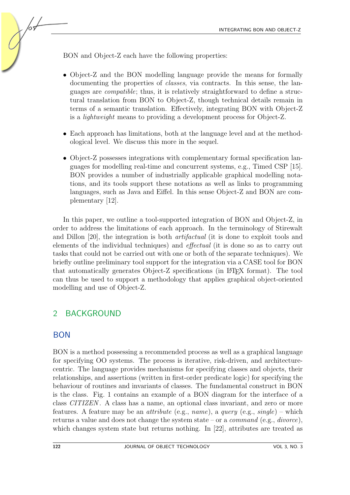BON and Object-Z each have the following properties:

- Object-Z and the BON modelling language provide the means for formally documenting the properties of classes, via contracts. In this sense, the languages are compatible; thus, it is relatively straightforward to define a structural translation from BON to Object-Z, though technical details remain in terms of a semantic translation. Effectively, integrating BON with Object-Z is a lightweight means to providing a development process for Object-Z.
- Each approach has limitations, both at the language level and at the methodological level. We discuss this more in the sequel.
- Object-Z possesses integrations with complementary formal specification languages for modelling real-time and concurrent systems, e.g., Timed CSP [\[15\]](#page-19-1). BON provides a number of industrially applicable graphical modelling notations, and its tools support these notations as well as links to programming languages, such as Java and Eiffel. In this sense Object-Z and BON are complementary [\[12\]](#page-19-2).

In this paper, we outline a tool-supported integration of BON and Object-Z, in order to address the limitations of each approach. In the terminology of Stirewalt and Dillon [\[20\]](#page-20-3), the integration is both artifactual (it is done to exploit tools and elements of the individual techniques) and effectual (it is done so as to carry out tasks that could not be carried out with one or both of the separate techniques). We briefly outline preliminary tool support for the integration via a CASE tool for BON that automatically generates Object-Z specifications (in LATEX format). The tool can thus be used to support a methodology that applies graphical object-oriented modelling and use of Object-Z.

# 2 BACKGROUND

## BON

/09

BON is a method possessing a recommended process as well as a graphical language for specifying OO systems. The process is iterative, risk-driven, and architecturecentric. The language provides mechanisms for specifying classes and objects, their relationships, and assertions (written in first-order predicate logic) for specifying the behaviour of routines and invariants of classes. The fundamental construct in BON is the class. Fig. [1](#page-2-0) contains an example of a BON diagram for the interface of a class CITIZEN . A class has a name, an optional class invariant, and zero or more features. A feature may be an *attribute* (e.g., *name*), a *query* (e.g., *single*) – which returns a value and does not change the system state – or a *command* (e.g., *divorce*), which changes system state but returns nothing. In [\[22\]](#page-20-2), attributes are treated as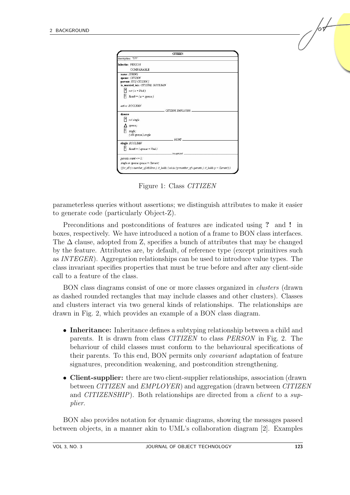| description: "???"<br>Inherits: PERSON                                                          |  |
|-------------------------------------------------------------------------------------------------|--|
|                                                                                                 |  |
|                                                                                                 |  |
| COMPARABLE                                                                                      |  |
| name: STRING                                                                                    |  |
| spouse: CITIZEN                                                                                 |  |
| parents: SETJ CITIZEN J                                                                         |  |
| is married to(a: CITIZEN): BOOLEAN                                                              |  |
| $\begin{vmatrix} 2 \\ not (a = Void) \end{vmatrix}$                                             |  |
|                                                                                                 |  |
| Μ<br>$Result = (a = spouse)$                                                                    |  |
|                                                                                                 |  |
| active: BOOLEAN                                                                                 |  |
|                                                                                                 |  |
| CITIZEN EMPLOYER                                                                                |  |
| divorce                                                                                         |  |
| $\overline{ }$<br>not single                                                                    |  |
|                                                                                                 |  |
| $\Delta$ spouse;                                                                                |  |
| Π<br>single;                                                                                    |  |
| (old spouse).single                                                                             |  |
|                                                                                                 |  |
| <b>MONE</b>                                                                                     |  |
| single: BOOLEAN                                                                                 |  |
| н<br>$Result = (spouse = Void)$                                                                 |  |
| invariant.                                                                                      |  |
| $parents.count \leq 2$ ;                                                                        |  |
|                                                                                                 |  |
| single or spouse.spouse = Current;                                                              |  |
| (for all (c member of children) it holds (exists (p member of c.parents) it holds p = Current)) |  |

<span id="page-2-0"></span>Figure 1: Class CITIZEN

parameterless queries without assertions; we distinguish attributes to make it easier to generate code (particularly Object-Z).

Preconditions and postconditions of features are indicated using ? and ! in boxes, respectively. We have introduced a notion of a frame to BON class interfaces. The  $\Delta$  clause, adopted from Z, specifies a bunch of attributes that may be changed by the feature. Attributes are, by default, of reference type (except primitives such as INTEGER). Aggregation relationships can be used to introduce value types. The class invariant specifies properties that must be true before and after any client-side call to a feature of the class.

BON class diagrams consist of one or more classes organized in clusters (drawn as dashed rounded rectangles that may include classes and other clusters). Classes and clusters interact via two general kinds of relationships. The relationships are drawn in Fig. [2,](#page-3-0) which provides an example of a BON class diagram.

- Inheritance: Inheritance defines a subtyping relationship between a child and parents. It is drawn from class CITIZEN to class PERSON in Fig. [2.](#page-3-0) The behaviour of child classes must conform to the behavioural specifications of their parents. To this end, BON permits only covariant adaptation of feature signatures, precondition weakening, and postcondition strengthening.
- Client-supplier: there are two client-supplier relationships, association (drawn between CITIZEN and EMPLOYER) and aggregation (drawn between CITIZEN and CITIZENSHIP). Both relationships are directed from a *client* to a supplier.

BON also provides notation for dynamic diagrams, showing the messages passed between objects, in a manner akin to UML's collaboration diagram [\[2\]](#page-19-3). Examples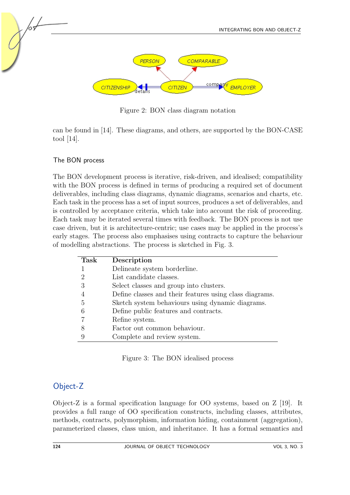

<span id="page-3-0"></span>Figure 2: BON class diagram notation

can be found in [\[14\]](#page-19-4). These diagrams, and others, are supported by the BON-CASE tool [\[14\]](#page-19-4).

#### The BON process

The BON development process is iterative, risk-driven, and idealised; compatibility with the BON process is defined in terms of producing a required set of document deliverables, including class diagrams, dynamic diagrams, scenarios and charts, etc. Each task in the process has a set of input sources, produces a set of deliverables, and is controlled by acceptance criteria, which take into account the risk of proceeding. Each task may be iterated several times with feedback. The BON process is not use case driven, but it is architecture-centric; use cases may be applied in the process's early stages. The process also emphasises using contracts to capture the behaviour of modelling abstractions. The process is sketched in Fig. [3.](#page-3-1)

| <b>Task</b> | Description                                             |
|-------------|---------------------------------------------------------|
|             | Delineate system borderline.                            |
|             | List candidate classes.                                 |
|             | Select classes and group into clusters.                 |
|             | Define classes and their features using class diagrams. |
| .5          | Sketch system behaviours using dynamic diagrams.        |
|             | Define public features and contracts.                   |
|             | Refine system.                                          |
|             | Factor out common behaviour.                            |
|             | Complete and review system.                             |

<span id="page-3-1"></span>Figure 3: The BON idealised process

## Object-Z

Object-Z is a formal specification language for OO systems, based on Z [\[19\]](#page-20-0). It provides a full range of OO specification constructs, including classes, attributes, methods, contracts, polymorphism, information hiding, containment (aggregation), parameterized classes, class union, and inheritance. It has a formal semantics and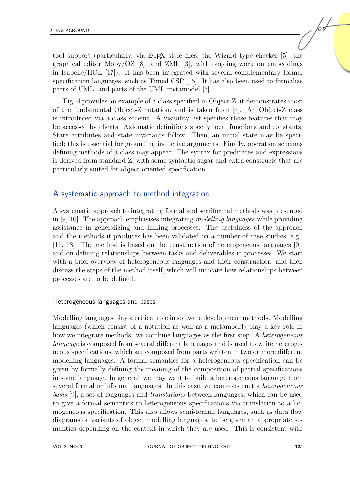tool support (particularly, via LATEX style files, the Wizard type checker [\[5\]](#page-19-5), the graphical editor Moby/OZ [\[8\]](#page-19-6), and ZML [\[3\]](#page-19-7), with ongoing work on embeddings in Isabelle/HOL [\[17\]](#page-20-1)). It has been integrated with several complementary formal specification languages, such as Timed CSP [\[15\]](#page-19-1). It has also been used to formalize parts of UML, and parts of the UML metamodel [\[6\]](#page-19-8).

Fig. [4](#page-5-0) provides an example of a class specified in Object-Z; it demonstrates most of the fundamental Object-Z notation, and is taken from [\[4\]](#page-19-9). An Object-Z class is introduced via a class schema. A visibility list specifies those features that may be accessed by clients. Axiomatic definitions specify local functions and constants. State attributes and state invariants follow. Then, an initial state may be specified; this is essential for grounding inductive arguments. Finally, operation schemas defining methods of a class may appear. The syntax for predicates and expressions is derived from standard Z, with some syntactic sugar and extra constructs that are particularly suited for object-oriented specification.

## A systematic approach to method integration

A systematic approach to integrating formal and semiformal methods was presented in  $[9, 10]$  $[9, 10]$  $[9, 10]$ . The approach emphasises integrating modelling languages while providing assistance in generalizing and linking processes. The usefulness of the approach and the methods it produces has been validated on a number of case studies, e.g., [\[11,](#page-19-12) [13\]](#page-19-13). The method is based on the construction of heterogeneous languages [\[9\]](#page-19-10), and on defining relationships between tasks and deliverables in processes. We start with a brief overview of heterogeneous languages and their construction, and then discuss the steps of the method itself, which will indicate how relationships between processes are to be defined.

#### Heterogeneous languages and bases

Modelling languages play a critical role in software development methods. Modelling languages (which consist of a notation as well as a metamodel) play a key role in how we integrate methods: we combine languages as the first step. A *heterogeneous* language is composed from several different languages and is used to write heterogeneous specifications, which are composed from parts written in two or more different modelling languages. A formal semantics for a heterogeneous specification can be given by formally defining the meaning of the composition of partial specifications in some language. In general, we may want to build a heterogeneous language from several formal or informal languages. In this case, we can construct a heterogeneous basis [\[9\]](#page-19-10), a set of languages and translations between languages, which can be used to give a formal semantics to heterogeneous specifications via translation to a homogeneous specification. This also allows semi-formal languages, such as data flow diagrams or variants of object modelling languages, to be given an appropriate semantics depending on the context in which they are used. This is consistent with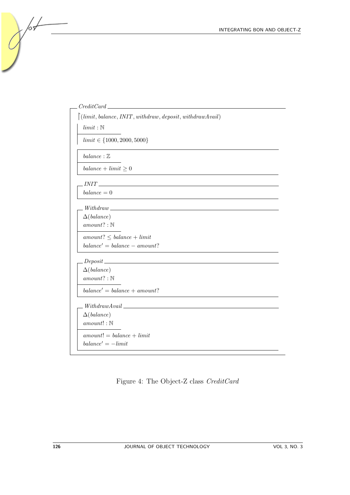

<span id="page-5-0"></span>Figure 4: The Object-Z class CreditCard

 $\sqrt{\frac{1}{2}}$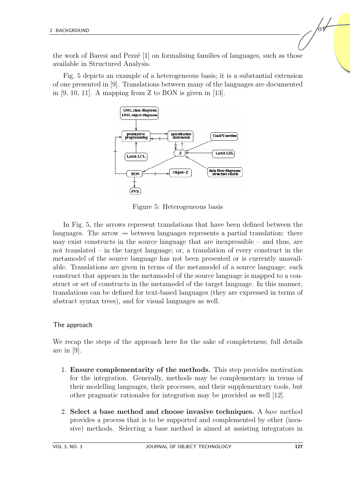the work of Baresi and Pezze<sup> $[1]$ </sup> on formalising families of languages, such as those available in Structured Analysis.

Fig. [5](#page-6-0) depicts an example of a heterogeneous basis; it is a substantial extension of one presented in [\[9\]](#page-19-10). Translations between many of the languages are documented in  $[9, 10, 11]$  $[9, 10, 11]$  $[9, 10, 11]$  $[9, 10, 11]$  $[9, 10, 11]$ . A mapping from Z to BON is given in  $[13]$ .



<span id="page-6-0"></span>Figure 5: Heterogeneous basis

In Fig. [5,](#page-6-0) the arrows represent translations that have been defined between the languages. The arrow  $\rightarrow$  between languages represents a partial translation: there may exist constructs in the source language that are inexpressible – and thus, are not translated – in the target language; or, a translation of every construct in the metamodel of the source language has not been presented or is currently unavailable. Translations are given in terms of the metamodel of a source language: each construct that appears in the metamodel of the source language is mapped to a construct or set of constructs in the metamodel of the target language. In this manner, translations can be defined for text-based languages (they are expressed in terms of abstract syntax trees), and for visual languages as well.

#### The approach

We recap the steps of the approach here for the sake of completeness; full details are in [\[9\]](#page-19-10).

- 1. Ensure complementarity of the methods. This step provides motivation for the integration. Generally, methods may be complementary in terms of their modelling languages, their processes, and their supplementary tools, but other pragmatic rationales for integration may be provided as well [\[12\]](#page-19-2).
- 2. Select a base method and choose invasive techniques. A base method provides a process that is to be supported and complemented by other (invasive) methods. Selecting a base method is aimed at assisting integrators in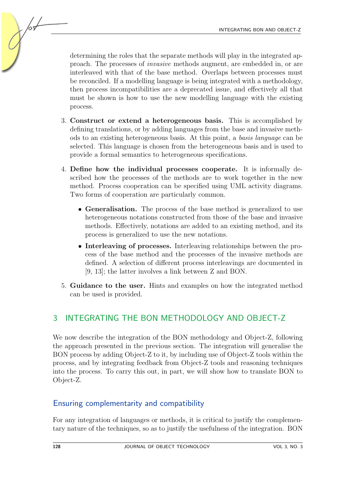determining the roles that the separate methods will play in the integrated approach. The processes of invasive methods augment, are embedded in, or are interleaved with that of the base method. Overlaps between processes must be reconciled. If a modelling language is being integrated with a methodology, then process incompatibilities are a deprecated issue, and effectively all that must be shown is how to use the new modelling language with the existing process.

- 3. Construct or extend a heterogeneous basis. This is accomplished by defining translations, or by adding languages from the base and invasive methods to an existing heterogeneous basis. At this point, a basis language can be selected. This language is chosen from the heterogeneous basis and is used to provide a formal semantics to heterogeneous specifications.
- 4. Define how the individual processes cooperate. It is informally described how the processes of the methods are to work together in the new method. Process cooperation can be specified using UML activity diagrams. Two forms of cooperation are particularly common.
	- Generalisation. The process of the base method is generalized to use heterogeneous notations constructed from those of the base and invasive methods. Effectively, notations are added to an existing method, and its process is generalized to use the new notations.
	- Interleaving of processes. Interleaving relationships between the process of the base method and the processes of the invasive methods are defined. A selection of different process interleavings are documented in [\[9,](#page-19-10) [13\]](#page-19-13); the latter involves a link between Z and BON.
- 5. Guidance to the user. Hints and examples on how the integrated method can be used is provided.

# <span id="page-7-0"></span>3 INTEGRATING THE BON METHODOLOGY AND OBJECT-Z

We now describe the integration of the BON methodology and Object-Z, following the approach presented in the previous section. The integration will generalise the BON process by adding Object-Z to it, by including use of Object-Z tools within the process, and by integrating feedback from Object-Z tools and reasoning techniques into the process. To carry this out, in part, we will show how to translate BON to Object-Z.

# Ensuring complementarity and compatibility

For any integration of languages or methods, it is critical to justify the complementary nature of the techniques, so as to justify the usefulness of the integration. BON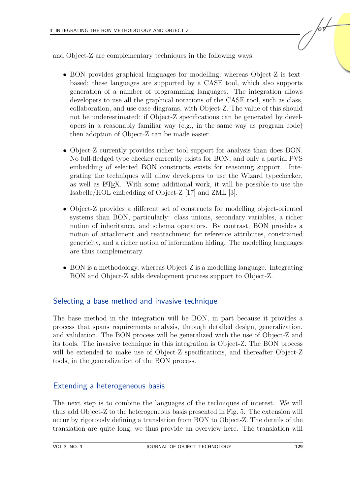and Object-Z are complementary techniques in the following ways:

- BON provides graphical languages for modelling, whereas Object-Z is textbased; these languages are supported by a CASE tool, which also supports generation of a number of programming languages. The integration allows developers to use all the graphical notations of the CASE tool, such as class, collaboration, and use case diagrams, with Object-Z. The value of this should not be underestimated: if Object-Z specifications can be generated by developers in a reasonably familiar way (e.g., in the same way as program code) then adoption of Object-Z can be made easier.
- Object-Z currently provides richer tool support for analysis than does BON. No full-fledged type checker currently exists for BON, and only a partial PVS embedding of selected BON constructs exists for reasoning support. Integrating the techniques will allow developers to use the Wizard typechecker, as well as LATEX. With some additional work, it will be possible to use the Isabelle/HOL embedding of Object-Z [\[17\]](#page-20-1) and ZML [\[3\]](#page-19-7).
- Object-Z provides a different set of constructs for modelling object-oriented systems than BON, particularly: class unions, secondary variables, a richer notion of inheritance, and schema operators. By contrast, BON provides a notion of attachment and reattachment for reference attributes, constrained genericity, and a richer notion of information hiding. The modelling languages are thus complementary.
- BON is a methodology, whereas Object-Z is a modelling language. Integrating BON and Object-Z adds development process support to Object-Z.

## Selecting a base method and invasive technique

The base method in the integration will be BON, in part because it provides a process that spans requirements analysis, through detailed design, generalization, and validation. The BON process will be generalized with the use of Object-Z and its tools. The invasive technique in this integration is Object-Z. The BON process will be extended to make use of Object-Z specifications, and thereafter Object-Z tools, in the generalization of the BON process.

## Extending a heterogeneous basis

The next step is to combine the languages of the techniques of interest. We will thus add Object-Z to the heterogeneous basis presented in Fig. [5.](#page-6-0) The extension will occur by rigorously defining a translation from BON to Object-Z. The details of the translation are quite long; we thus provide an overview here. The translation will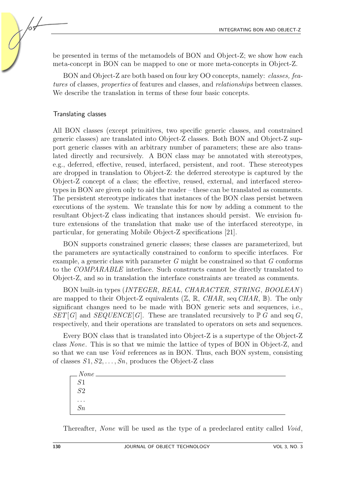be presented in terms of the metamodels of BON and Object-Z; we show how each meta-concept in BON can be mapped to one or more meta-concepts in Object-Z.

BON and Object-Z are both based on four key OO concepts, namely: classes, features of classes, properties of features and classes, and relationships between classes. We describe the translation in terms of these four basic concepts.

#### Translating classes

/о9

All BON classes (except primitives, two specific generic classes, and constrained generic classes) are translated into Object-Z classes. Both BON and Object-Z support generic classes with an arbitrary number of parameters; these are also translated directly and recursively. A BON class may be annotated with stereotypes, e.g., deferred, effective, reused, interfaced, persistent, and root. These stereotypes are dropped in translation to Object-Z: the deferred stereotype is captured by the Object-Z concept of a class; the effective, reused, external, and interfaced stereotypes in BON are given only to aid the reader – these can be translated as comments. The persistent stereotype indicates that instances of the BON class persist between executions of the system. We translate this for now by adding a comment to the resultant Object-Z class indicating that instances should persist. We envision future extensions of the translation that make use of the interfaced stereotype, in particular, for generating Mobile Object-Z specifications [\[21\]](#page-20-4).

BON supports constrained generic classes; these classes are parameterized, but the parameters are syntactically constrained to conform to specific interfaces. For example, a generic class with parameter  $G$  might be constrained so that  $G$  conforms to the COMPARABLE interface. Such constructs cannot be directly translated to Object-Z, and so in translation the interface constraints are treated as comments.

BON built-in types (INTEGER, REAL, CHARACTER, STRING, BOOLEAN) are mapped to their Object-Z equivalents  $(\mathbb{Z}, \mathbb{R}, \text{CHAR}, \text{seq } \text{CHAR}, \mathbb{B})$ . The only significant changes need to be made with BON generic sets and sequences, i.e.,  $SET[G]$  and  $SEQUENCE[G]$ . These are translated recursively to  $\mathbb{P} G$  and seq G, respectively, and their operations are translated to operators on sets and sequences.

Every BON class that is translated into Object-Z is a supertype of the Object-Z class None. This is so that we mimic the lattice of types of BON in Object-Z, and so that we can use Void references as in BON. Thus, each BON system, consisting of classes  $S_1, S_2, \ldots, S_n$ , produces the Object-Z class

| $None.$<br>S1  |  |  |  |
|----------------|--|--|--|
|                |  |  |  |
| $rac{61}{52}$  |  |  |  |
|                |  |  |  |
| $\cdots$<br>Sn |  |  |  |
|                |  |  |  |

Thereafter, None will be used as the type of a predeclared entity called Void,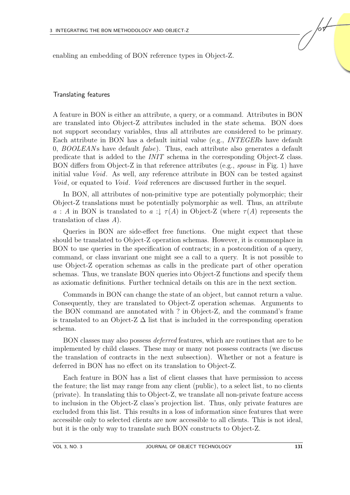enabling an embedding of BON reference types in Object-Z.

#### Translating features

A feature in BON is either an attribute, a query, or a command. Attributes in BON are translated into Object-Z attributes included in the state schema. BON does not support secondary variables, thus all attributes are considered to be primary. Each attribute in BON has a default initial value (e.g., INTEGERs have default 0,  $BOOLEANS$  have default  $false$ ). Thus, each attribute also generates a default predicate that is added to the INIT schema in the corresponding Object-Z class. BON differs from Object-Z in that reference attributes (e.g., spouse in Fig. [1\)](#page-2-0) have initial value Void. As well, any reference attribute in BON can be tested against Void, or equated to Void. Void references are discussed further in the sequel.

In BON, all attributes of non-primitive type are potentially polymorphic; their Object-Z translations must be potentially polymorphic as well. Thus, an attribute a : A in BON is translated to a :  $\downarrow \tau(A)$  in Object-Z (where  $\tau(A)$  represents the translation of class A).

Queries in BON are side-effect free functions. One might expect that these should be translated to Object-Z operation schemas. However, it is commonplace in BON to use queries in the specification of contracts; in a postcondition of a query, command, or class invariant one might see a call to a query. It is not possible to use Object-Z operation schemas as calls in the predicate part of other operation schemas. Thus, we translate BON queries into Object-Z functions and specify them as axiomatic definitions. Further technical details on this are in the next section.

Commands in BON can change the state of an object, but cannot return a value. Consequently, they are translated to Object-Z operation schemas. Arguments to the BON command are annotated with ? in Object-Z, and the command's frame is translated to an Object-Z  $\Delta$  list that is included in the corresponding operation schema.

BON classes may also possess deferred features, which are routines that are to be implemented by child classes. These may or many not possess contracts (we discuss the translation of contracts in the next subsection). Whether or not a feature is deferred in BON has no effect on its translation to Object-Z.

Each feature in BON has a list of client classes that have permission to access the feature; the list may range from any client (public), to a select list, to no clients (private). In translating this to Object-Z, we translate all non-private feature access to inclusion in the Object-Z class's projection list. Thus, only private features are excluded from this list. This results in a loss of information since features that were accessible only to selected clients are now accessible to all clients. This is not ideal, but it is the only way to translate such BON constructs to Object-Z.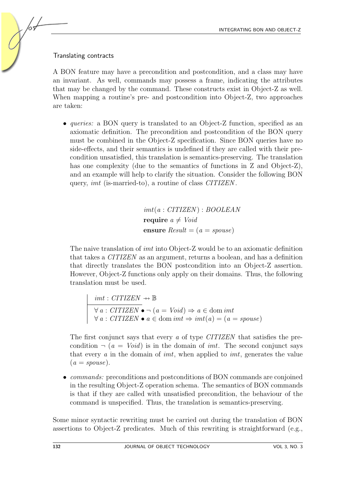#### Translating contracts

A BON feature may have a precondition and postcondition, and a class may have an invariant. As well, commands may possess a frame, indicating the attributes that may be changed by the command. These constructs exist in Object-Z as well. When mapping a routine's pre- and postcondition into Object-Z, two approaches are taken:

• *queries:* a BON query is translated to an Object-Z function, specified as an axiomatic definition. The precondition and postcondition of the BON query must be combined in the Object-Z specification. Since BON queries have no side-effects, and their semantics is undefined if they are called with their precondition unsatisfied, this translation is semantics-preserving. The translation has one complexity (due to the semantics of functions in Z and Object-Z), and an example will help to clarify the situation. Consider the following BON query, imt (is-married-to), a routine of class CITIZEN .

> $imt(a: CITIZEN): BOOLEAN$ require  $a \neq \textit{Void}$ ensure  $Result = (a = spouse)$

The naive translation of imt into Object-Z would be to an axiomatic definition that takes a CITIZEN as an argument, returns a boolean, and has a definition that directly translates the BON postcondition into an Object-Z assertion. However, Object-Z functions only apply on their domains. Thus, the following translation must be used.

 $imt : CITIZEN \rightarrow \mathbb{B}$  $\forall a : \text{CITIZEN} \bullet \neg (a = \text{Void}) \Rightarrow a \in \text{dom int}$  $\forall a : \text{CITIZEN} \bullet a \in \text{dom im}t \Rightarrow \text{im}t(a) = (a = \text{spouse})$ 

The first conjunct says that every a of type CITIZEN that satisfies the precondition  $\neg (a = Void)$  is in the domain of *imt*. The second conjunct says that every  $\alpha$  in the domain of *imt*, when applied to *imt*, generates the value  $(a = s \text{pouse}).$ 

• *commands:* preconditions and postconditions of BON commands are conjoined in the resulting Object-Z operation schema. The semantics of BON commands is that if they are called with unsatisfied precondition, the behaviour of the command is unspecified. Thus, the translation is semantics-preserving.

Some minor syntactic rewriting must be carried out during the translation of BON assertions to Object-Z predicates. Much of this rewriting is straightforward (e.g.,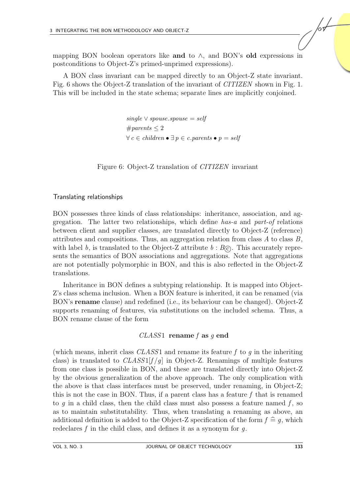mapping BON boolean operators like and to  $\wedge$ , and BON's old expressions in postconditions to Object-Z's primed-unprimed expressions).

A BON class invariant can be mapped directly to an Object-Z state invariant. Fig. [6](#page-12-0) shows the Object-Z translation of the invariant of CITIZEN shown in Fig. [1.](#page-2-0) This will be included in the state schema; separate lines are implicitly conjoined.

> single  $\vee$  spouse.spouse = self  $#parents < 2$  $\forall c \in children \bullet \exists p \in c.parents \bullet p = self$

<span id="page-12-0"></span>Figure 6: Object-Z translation of CITIZEN invariant

#### Translating relationships

BON possesses three kinds of class relationships: inheritance, association, and aggregation. The latter two relationships, which define has-a and part-of relations between client and supplier classes, are translated directly to Object-Z (reference) attributes and compositions. Thus, an aggregation relation from class  $A$  to class  $B$ , with label b, is translated to the Object-Z attribute  $b : B<sub>C</sub>$ . This accurately represents the semantics of BON associations and aggregations. Note that aggregations are not potentially polymorphic in BON, and this is also reflected in the Object-Z translations.

Inheritance in BON defines a subtyping relationship. It is mapped into Object-Z's class schema inclusion. When a BON feature is inherited, it can be renamed (via BON's rename clause) and redefined (i.e., its behaviour can be changed). Object-Z supports renaming of features, via substitutions on the included schema. Thus, a BON rename clause of the form

#### $CLASS1$  rename f as q end

(which means, inherit class  $CLASS1$  and rename its feature f to q in the inheriting class) is translated to  $CLASS1[f/q]$  in Object-Z. Renamings of multiple features from one class is possible in BON, and these are translated directly into Object-Z by the obvious generalization of the above approach. The only complication with the above is that class interfaces must be preserved, under renaming, in Object-Z; this is not the case in BON. Thus, if a parent class has a feature  $f$  that is renamed to q in a child class, then the child class must also possess a feature named  $f$ , so as to maintain substitutability. Thus, when translating a renaming as above, an additional definition is added to the Object-Z specification of the form  $f \nightharpoonup q$ , which redeclares f in the child class, and defines it as a synonym for  $q$ .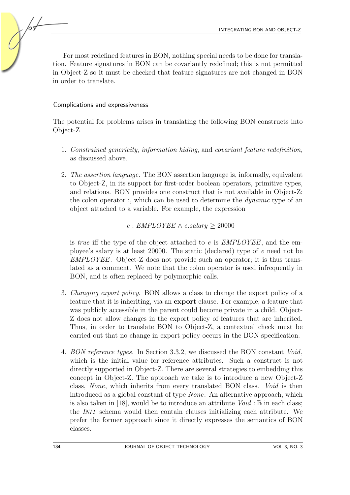For most redefined features in BON, nothing special needs to be done for translation. Feature signatures in BON can be covariantly redefined; this is not permitted in Object-Z so it must be checked that feature signatures are not changed in BON in order to translate.

#### Complications and expressiveness

The potential for problems arises in translating the following BON constructs into Object-Z.

- 1. Constrained genericity, information hiding, and covariant feature redefinition, as discussed above.
- 2. The assertion language. The BON assertion language is, informally, equivalent to Object-Z, in its support for first-order boolean operators, primitive types, and relations. BON provides one construct that is not available in Object-Z: the colon operator :, which can be used to determine the *dynamic* type of an object attached to a variable. For example, the expression

#### $e: EMPLOYEE \wedge e.salary > 20000$

is *true* iff the type of the object attached to  $e$  is  $EMPLOYEE$ , and the employee's salary is at least 20000. The static (declared) type of e need not be EMPLOYEE. Object-Z does not provide such an operator; it is thus translated as a comment. We note that the colon operator is used infrequently in BON, and is often replaced by polymorphic calls.

- 3. Changing export policy. BON allows a class to change the export policy of a feature that it is inheriting, via an export clause. For example, a feature that was publicly accessible in the parent could become private in a child. Object-Z does not allow changes in the export policy of features that are inherited. Thus, in order to translate BON to Object-Z, a contextual check must be carried out that no change in export policy occurs in the BON specification.
- 4. BON reference types. In Section 3.3.2, we discussed the BON constant Void, which is the initial value for reference attributes. Such a construct is not directly supported in Object-Z. There are several strategies to embedding this concept in Object-Z. The approach we take is to introduce a new Object-Z class, None, which inherits from every translated BON class. Void is then introduced as a global constant of type None. An alternative approach, which is also taken in [\[18\]](#page-20-5), would be to introduce an attribute  $Void : \mathbb{B}$  in each class; the INIT schema would then contain clauses initializing each attribute. We prefer the former approach since it directly expresses the semantics of BON classes.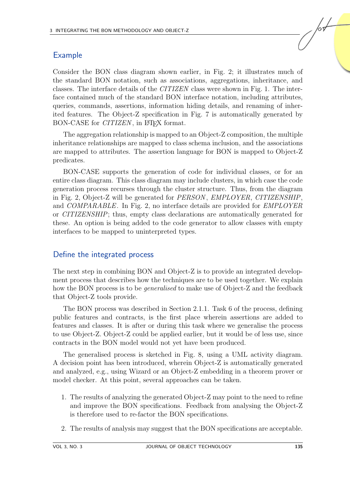## Example

Consider the BON class diagram shown earlier, in Fig. [2;](#page-3-0) it illustrates much of the standard BON notation, such as associations, aggregations, inheritance, and classes. The interface details of the CITIZEN class were shown in Fig. [1.](#page-2-0) The interface contained much of the standard BON interface notation, including attributes, queries, commands, assertions, information hiding details, and renaming of inherited features. The Object-Z specification in Fig. [7](#page-15-0) is automatically generated by BON-CASE for *CITIZEN*, in L<sup>AT</sup>FX format.

The aggregation relationship is mapped to an Object-Z composition, the multiple inheritance relationships are mapped to class schema inclusion, and the associations are mapped to attributes. The assertion language for BON is mapped to Object-Z predicates.

BON-CASE supports the generation of code for individual classes, or for an entire class diagram. This class diagram may include clusters, in which case the code generation process recurses through the cluster structure. Thus, from the diagram in Fig. [2,](#page-3-0) Object-Z will be generated for PERSON , EMPLOYER, CITIZENSHIP, and COMPARABLE. In Fig. [2,](#page-3-0) no interface details are provided for EMPLOYER or CITIZENSHIP; thus, empty class declarations are automatically generated for these. An option is being added to the code generator to allow classes with empty interfaces to be mapped to uninterpreted types.

## Define the integrated process

The next step in combining BON and Object-Z is to provide an integrated development process that describes how the techniques are to be used together. We explain how the BON process is to be *generalised* to make use of Object-Z and the feedback that Object-Z tools provide.

The BON process was described in Section 2.1.1. Task 6 of the process, defining public features and contracts, is the first place wherein assertions are added to features and classes. It is after or during this task where we generalise the process to use Object-Z. Object-Z could be applied earlier, but it would be of less use, since contracts in the BON model would not yet have been produced.

The generalised process is sketched in Fig. [8,](#page-16-0) using a UML activity diagram. A decision point has been introduced, wherein Object-Z is automatically generated and analyzed, e.g., using Wizard or an Object-Z embedding in a theorem prover or model checker. At this point, several approaches can be taken.

- 1. The results of analyzing the generated Object-Z may point to the need to refine and improve the BON specifications. Feedback from analysing the Object-Z is therefore used to re-factor the BON specifications.
- 2. The results of analysis may suggest that the BON specifications are acceptable.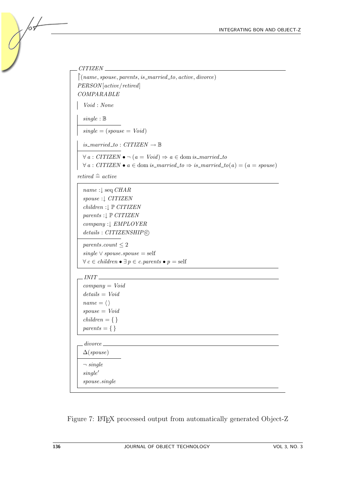```
CITIZEN
\int(name, spouse, parents, is_married_to, active, divorce)
PERSON [active/retired]
COMPARABLE
  Void : None
  single : B
  single = (spouse = Void)is\_married\_to: CITIZEN \rightarrow \mathbb{B}\forall a : \text{CITIZEN} \bullet \neg (a = \text{Void}) \Rightarrow a \in \text{dom } is\_married\_to\forall a : CITIZEN \bullet a \in \text{dom } is\_married\_to \Rightarrow is\_married\_to(a) = (a = s{pouse})retired \; \widehat{=} \; activename :↓ seq CHAR
  spouse :↓ CITIZEN
  children :↓ P CITIZEN
  parents :↓ P CITIZEN
  company :↓ EMPLOYER
  details: CITIZENSHIP<sup>C</sup>
  parents.count \leq 2single ∨ spouse.spouse = self
  \forall c \in children \bullet \exists p \in c.parents \bullet p = selfINT<sub>-</sub>
  company = Voiddetails = Voidname = \langle \ranglespouse = Voidchildren = \{\}parents = \{\}divorce_
  \Delta(s\text{pouse})\neg single
  single'spouse.single
```
<span id="page-15-0"></span>Figure 7: LATEX processed output from automatically generated Object-Z

/о9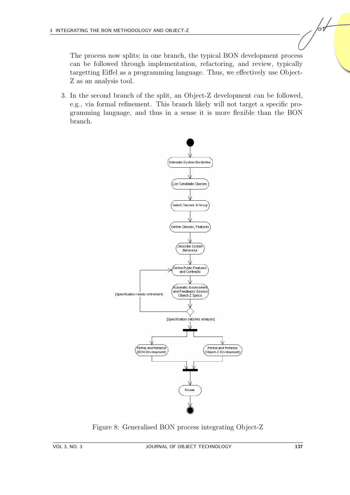The process now splits; in one branch, the typical BON development process can be followed through implementation, refactoring, and review, typically targetting Eiffel as a programming language. Thus, we effectively use Object-Z as an analysis tool.

3. In the second branch of the split, an Object-Z development can be followed, e.g., via formal refinement. This branch likely will not target a specific programming language, and thus in a sense it is more flexible than the BON branch.



<span id="page-16-0"></span>Figure 8: Generalised BON process integrating Object-Z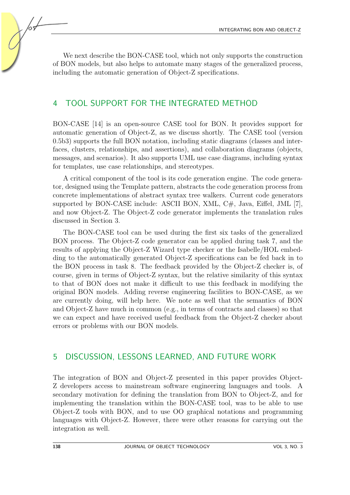We next describe the BON-CASE tool, which not only supports the construction of BON models, but also helps to automate many stages of the generalized process, including the automatic generation of Object-Z specifications.

# 4 TOOL SUPPORT FOR THE INTEGRATED METHOD

BON-CASE [\[14\]](#page-19-4) is an open-source CASE tool for BON. It provides support for automatic generation of Object-Z, as we discuss shortly. The CASE tool (version 0.5b3) supports the full BON notation, including static diagrams (classes and interfaces, clusters, relationships, and assertions), and collaboration diagrams (objects, messages, and scenarios). It also supports UML use case diagrams, including syntax for templates, use case relationships, and stereotypes.

A critical component of the tool is its code generation engine. The code generator, designed using the Template pattern, abstracts the code generation process from concrete implementations of abstract syntax tree walkers. Current code generators supported by BON-CASE include: ASCII BON, XML,  $C#$ , Java, Eiffel, JML [\[7\]](#page-19-15), and now Object-Z. The Object-Z code generator implements the translation rules discussed in Section [3.](#page-7-0)

The BON-CASE tool can be used during the first six tasks of the generalized BON process. The Object-Z code generator can be applied during task 7, and the results of applying the Object-Z Wizard type checker or the Isabelle/HOL embedding to the automatically generated Object-Z specifications can be fed back in to the BON process in task 8. The feedback provided by the Object-Z checker is, of course, given in terms of Object-Z syntax, but the relative similarity of this syntax to that of BON does not make it difficult to use this feedback in modifying the original BON models. Adding reverse engineering facilities to BON-CASE, as we are currently doing, will help here. We note as well that the semantics of BON and Object-Z have much in common (e.g., in terms of contracts and classes) so that we can expect and have received useful feedback from the Object-Z checker about errors or problems with our BON models.

## 5 DISCUSSION, LESSONS LEARNED, AND FUTURE WORK

The integration of BON and Object-Z presented in this paper provides Object-Z developers access to mainstream software engineering languages and tools. A secondary motivation for defining the translation from BON to Object-Z, and for implementing the translation within the BON-CASE tool, was to be able to use Object-Z tools with BON, and to use OO graphical notations and programming languages with Object-Z. However, there were other reasons for carrying out the integration as well.

/09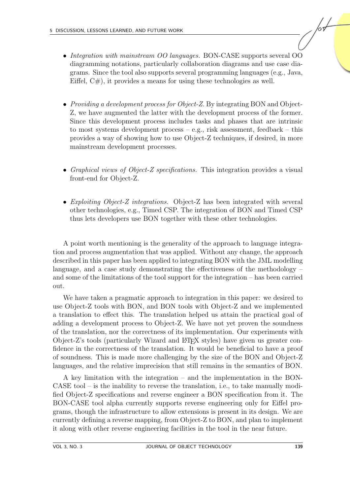- Integration with mainstream OO languages. BON-CASE supports several OO diagramming notations, particularly collaboration diagrams and use case diagrams. Since the tool also supports several programming languages (e.g., Java, Eiffel,  $C#$ ), it provides a means for using these technologies as well.
- *Providing a development process for Object-Z.* By integrating BON and Object-Z, we have augmented the latter with the development process of the former. Since this development process includes tasks and phases that are intrinsic to most systems development process  $-e.g.,$  risk assessment, feedback – this provides a way of showing how to use Object-Z techniques, if desired, in more mainstream development processes.
- Graphical views of Object-Z specifications. This integration provides a visual front-end for Object-Z.
- Exploiting Object-Z integrations. Object-Z has been integrated with several other technologies, e.g., Timed CSP. The integration of BON and Timed CSP thus lets developers use BON together with these other technologies.

A point worth mentioning is the generality of the approach to language integration and process augmentation that was applied. Without any change, the approach described in this paper has been applied to integrating BON with the JML modelling language, and a case study demonstrating the effectiveness of the methodology – and some of the limitations of the tool support for the integration – has been carried out.

We have taken a pragmatic approach to integration in this paper: we desired to use Object-Z tools with BON, and BON tools with Object-Z and we implemented a translation to effect this. The translation helped us attain the practical goal of adding a development process to Object-Z. We have not yet proven the soundness of the translation, nor the correctness of its implementation. Our experiments with Object-Z's tools (particularly Wizard and LATEX styles) have given us greater confidence in the correctness of the translation. It would be beneficial to have a proof of soundness. This is made more challenging by the size of the BON and Object-Z languages, and the relative imprecision that still remains in the semantics of BON.

A key limitation with the integration – and the implementation in the BON-CASE tool – is the inability to reverse the translation, i.e., to take manually modified Object-Z specifications and reverse engineer a BON specification from it. The BON-CASE tool alpha currently supports reverse engineering only for Eiffel programs, though the infrastructure to allow extensions is present in its design. We are currently defining a reverse mapping, from Object-Z to BON, and plan to implement it along with other reverse engineering facilities in the tool in the near future.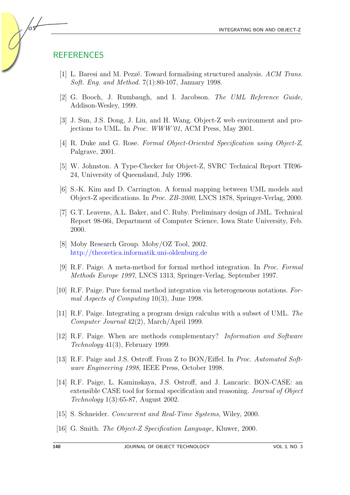## **REFERENCES**

/or

- <span id="page-19-14"></span>[1] L. Baresi and M. Pezzé. Toward formalising structured analysis.  $ACM$  Trans. Soft. Eng. and Method. 7(1):80-107, January 1998.
- <span id="page-19-3"></span>[2] G. Booch, J. Rumbaugh, and I. Jacobson. The UML Reference Guide, Addison-Wesley, 1999.
- <span id="page-19-7"></span>[3] J. Sun, J.S. Dong, J. Liu, and H. Wang. Object-Z web environment and projections to UML. In Proc. WWW'01, ACM Press, May 2001.
- <span id="page-19-9"></span>[4] R. Duke and G. Rose. Formal Object-Oriented Specification using Object-Z, Palgrave, 2001.
- <span id="page-19-5"></span>[5] W. Johnston. A Type-Checker for Object-Z, SVRC Technical Report TR96- 24, University of Queensland, July 1996.
- <span id="page-19-8"></span>[6] S.-K. Kim and D. Carrington. A formal mapping between UML models and Object-Z specifications. In Proc. ZB-2000, LNCS 1878, Springer-Verlag, 2000.
- <span id="page-19-15"></span>[7] G.T. Leavens, A.L. Baker, and C. Ruby. Preliminary design of JML. Technical Report 98-06i, Department of Computer Science, Iowa State University, Feb. 2000.
- <span id="page-19-6"></span>[8] Moby Research Group. Moby/OZ Tool, 2002. <http://theoretica.informatik.uni-oldenburg.de>
- <span id="page-19-10"></span>[9] R.F. Paige. A meta-method for formal method integration. In Proc. Formal Methods Europe 1997, LNCS 1313, Springer-Verlag, September 1997.
- <span id="page-19-11"></span>[10] R.F. Paige. Pure formal method integration via heterogeneous notations. Formal Aspects of Computing 10(3), June 1998.
- <span id="page-19-12"></span>[11] R.F. Paige. Integrating a program design calculus with a subset of UML. The Computer Journal 42(2), March/April 1999.
- <span id="page-19-2"></span>[12] R.F. Paige. When are methods complementary? Information and Software Technology 41(3), February 1999.
- <span id="page-19-13"></span>[13] R.F. Paige and J.S. Ostroff. From Z to BON/Eiffel. In Proc. Automated Software Engineering 1998, IEEE Press, October 1998.
- <span id="page-19-4"></span>[14] R.F. Paige, L. Kaminskaya, J.S. Ostroff, and J. Lancaric. BON-CASE: an extensible CASE tool for formal specification and reasoning. Journal of Object Technology 1(3):65-87, August 2002.
- <span id="page-19-1"></span>[15] S. Schneider. *Concurrent and Real-Time Systems*, Wiley, 2000.
- <span id="page-19-0"></span>[16] G. Smith. The Object-Z Specification Language, Kluwer, 2000.